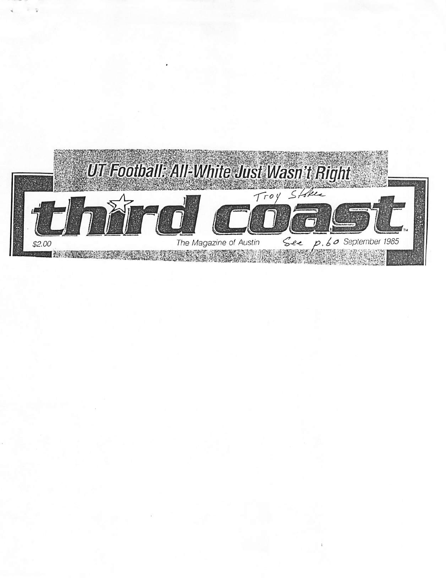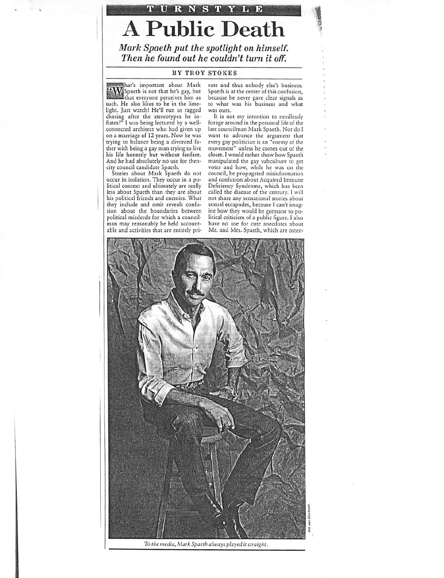# URNSTYLE <sup>A</sup> Public Death

**Mark Spaeth put the spotlight on himself. Then he found out he couldn't turn it off.**

#### BY TROY STOKES

hat's important about Mark "W Spaeth is not that he's gay, but that everyone perceives him as such. He also likes to be in the lime light. Just watch! He'll run us ragged chasing after the stereotypes he in flates!" 1was being lectured by a wellconnected architect who had given up on a marriage of 12 years. Now he was trying to balance being a divorced fa ther with being a gay man trying to live his life honestly but without fanfare. And he had absolutely no use for thencity council candidate Spaeth.

Stories about Mark Spaeth do not occur in isolation. They occur in a po litical context and ultimately are really less about Spaeth than they are about his political friends and enemies. What they include and omit reveals confu sion about the boundaries between political misdeeds for which a council man may reasonably be held account able and activities that are entirely pri

vate and thus nobody else's business. Spaeth is at the center of this confusion, because he never gave clear signals as to what was his business and what was ours.

It is not my intention to needlessly forage around in the personal life of the late councilman Mark Spaeth. Nor do I want to advance the argument that every gay politician is an "enemy of the movement" unless he comes out of the closet.I would rather show how Spaeth manipulated the gay subculture to get votes and how, while he was on the council, he propagated misinformation and confusion about Acquired Immune Deficiency Syndrome, which has been called the disease of the century. I will not share any sensational stories about sexual escapades, because I can't imag ine how they would be germane to political criticism of a public figure. I also have no use for cute anecdotes about Mr. and Mrs. Spaeth, which are osten-



**To themedia, Mark Spaeth always played itstraight.**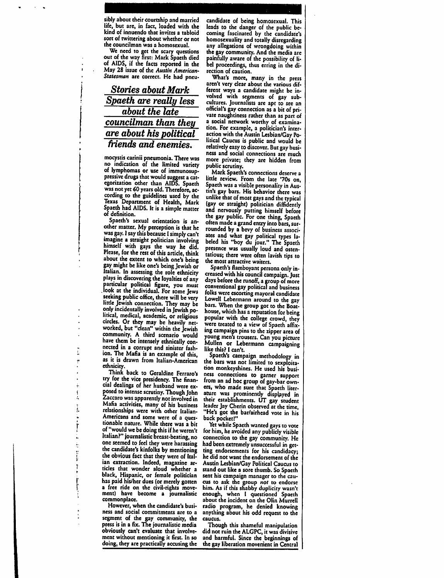*sibly about theircourtship and married life, but are, in fact, loaded with the kind of innuendo that invites a tabloid sortof twittering aboutwhether or not the councilman was a homosexual.*

*We need to get the scary questions out of the way first: Mark Spaeth died of AIDS, if the facts reported in the May 28 issue of the Austin American-Statesman are correct. He had pneu-*

## *Stories about Mark Spaeth are really less about the late councilman than they are about his political friends and enemies.*

*mocystis carinii pneumonia. Therewas no indication of the limited variety of lymphomas or use of immunosup pressive drugs thatwould suggest acat egorization other than AIDS. Spaeth wasnot yet60 years old. Therefore,ac cording to the guidelines used by the Texas Department of Health, Mark Spaeth had AIDS. Itisa simple matter of definition.*

*Spaeth's sexual orientation is an other matter. My perception isthat he was gay. 1say thisbecause Isimply can't imagine <sup>a</sup> straight politician involving himself with gays the way he did. Please, for therest ofthis article, think about the extent towhich one's being gay might belikeone's being Jewish or Italian. In assessing the role ethnicity* plays in discovering the loyalties of any<br>particular political figure, you must<br>look at the individual. For some Jews<br>seeking public office, there will be very *seeking public office, there will be very little Jewish connection. They may be* litical, medical, academic, or religious<br>circles. Or they may be heavily net*worked, but"clean" within the Jewish community. A third scenario would have them be intensely ethnically con nected in a corrupt and sinister fash ion. The Mafia is an example of this, as it is drawn from Italian-American ethnicity.*

*Think back to Geraldine Ferraro's try for the vice presidency. The finan cial dealings of her husband were ex posed tointense scrutiny. Though John Zaccaro was apparently notinvolved in Mafia activities, many of his business relationships were with other Italian-Americans and some were of a ques tionable nature. While there was a bit of"would webedoing this ifheweren't Italian?" journalistic breast-beating, no one seemed to feel they were harassing the candidate's kinfolks bymentioning theobvious fact thatthey were of Ital ian extraction. Indeed, magazine ar ticles that wonder aloud whether a black, Hispanic, or female politician haspaid his/her dues (or merely gotten <sup>a</sup> free ride on the civil-rights move ment) have become a journalistic commonplace.*

*However, when the candidate's busi ness and social commitments are to a segment of the gay community, the press is in a fix. The journalisticmedia obviously can't evaluate that involve ment without mentioning it first. In so doing, theyarepractically accusing the* *candidate of being homosexual. This leads to the danger of the public be coming fascinated by the candidate's homosexuality and totally disregarding any allegations of wrongdoing within the gaycommunity. And the media are painfully aware of the possibility of li bel proceedings, thus erring in the di rection of caution.*

*What's more, many in the press aren't very clear about the various dif ferent ways a candidate might be in volved with segments of gay sub cultures. Journalists are apt to see an official's gay connection asa bitof pri vate naughtiness rather than as part of <sup>a</sup> social network worthy of examina tion. For example, a politician's inter action withtheAustin Lesbian/Gay Po litical Caucus is public and would be relatively easy todiscover. Butgay busi ness and social connections are much more private; they are hidden from*

*public scrutiny. Mark Spaeth's connections deserve <sup>a</sup> little review. From the late 70s on, Spaeth was avisible personality inAus tin's gay bars. His behavior there was unlike that ofmost gays and the typical* and nervously putting himself before<br>the gay public. For one thing, Spaeth<br>often made a grand entry into bars, sur-<br>rounded by a bevy of business associ*ates and what gay political types la beled his "boy du jour." The Spaeth presence was usually loud and osten tatious; there were often lavish tips to the most attractive waiters.*

*Spaeth's flamboyant persona only in creased with hiscouncil campaign. Just days before the runoff, agroup of more conventional gay political and business folks were escorting mayoral candidate* bars. When the group got to the Boat-<br>house, which has a reputation for being popular with the college crowd, they were treated to a view of Spaeth affix*ing campaign pins to the zipper area of young men's trousers. Can you picture Mullen or Lebermann campaigning like this? I can't.*

*Spaeth's campaign methodology in the bars was not limited to sexploita tion monkeyshines. He used his busi ness connections to garner support from an ad hoc group of gay-bar own ers, who made sure that Spaeth liter ature was prominently displayed in their establishments. UT gay student leader Jay Cherin observed atthe time, "He's got the bar/airhead vote in his back pocked"*

*Yet while Spaeth wanted gays to vote for him, heavoided any publicly visible connection to the gay community. He had been extremely unsuccessful inget ting endorsements for his candidacy; he did not want the endorsement of the AustinLesbian/Gay Political Caucus to standout likea sorethumb.So Spaeth sent his campaign manager to the cau cus to ask the group not to endorse him. As if this shabby duplicicy wasn't enough, when I questioned Spaeth about the incident on the Olin Murrell radio program, he denied knowing anything about his odd request to the caucus.*

*Though thisshameful manipulation didnot ruinthe ALGPC, it wasdivisive and harmful. Since the beginnings of the gayliberation movement in Central*

 $\ddot{i}$ ņ ÷. į, ė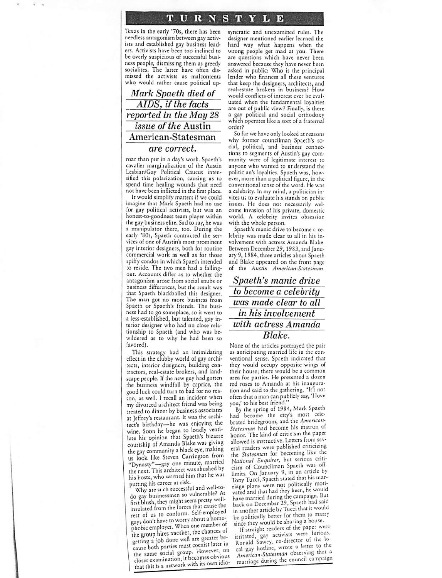### TURNSTYLE

Texas in the early '70s, there has been needless antagonism between gay activists and established gay business lead ers. Activists have been too inclined to be overly suspicious of successful busi ness people, dismissing them as greedy socialites. The latter have often dis missed the activists as malcontents who would rather cause political up-

**Mark Spaeth died of AIDS, ifthe facts reported in the May 28** *issue* of the Austin American-Statesman **are correct.**

roar than put in a day's work. Spaeth's cavalier marginalization of the Austin Lesbian/Gay Political Caucus inten sified this polarization, causing us to spend time healing wounds that need not have been inflicted in the first place.

It would simplify matters if we could imagine that Mark Spaeth had no use for gay political activists, but was an honest-to-goodness team player within the gay business elite. Sad to say, he was a manipulator there, too. During the early '80s, Spaeth contracted the ser vices of one of Austin's most prominent gay interior designers, both for routine commercial work as well as for those spiffy condos in which Spaeth intended to reside. The two men had a falling out. Accounts differ as to whether the antagonism arose from social snubs or business differences, but the result was that Spaeth blackballed this designer. The man got no more business from Spaeth or Spaeth's friends. The busi ness had to go someplace, so it went to a less-established, but talented, gay in terior designer who had no close rela tionship to Spaeth (and who was be wildered as to why he had been so favored).

This strategy had an intimidating effect in the clubby world of gay archi tects, interior designers, building con tractors, real-estate brokers, and land scape people. If the new guy had gotten the business windfall by caprice, the good luck could turn to bad for no reason, as well. I recall an incident when my divorced architect friend was being treated to dinner by business associates at Jeffrey's restaurant. Itwas the archi tect's birthday—he was enjoying the wine. Soon he began to loudly venti late his opinion that Spaeth's bizarre courtship of Amanda Blake was giving the gay community ablack eye, making us look like Steven Carrington from "Dynasty"—gay one minute, married the next. This architect was shushed by his hosts, who warned him that he was<br>putting his career at risk.

Why are such successful and well-todo gay businessmen so vulnerable? At first blush, they might seem pretty wellinsulated from the forces that cause the rest of us to conform. Self-employed<br>gays don't have to worry about a homophobic employer. When one member of<br>the group hires another, the chances of<br>getting a job done well are greater because both parties must coexist later in the same social group. However, on closer examination, it becomes obvious<br>that this is a network with its own idio-

syncratic and unexamined rules. The designer mentioned earlier learned the hard way what happens when the wrong people get mad at you. There are questions which have never been answered because they have never been asked in public: Who is the principal lender who finances all these ventures that keep the designers, architects, and real-estate brokers in business? How would conflicts of interest ever be eval uated when the fundamental loyalties are out of public view? Finally, is there a gay political and social orthodoxy which operates like a sort of a fraternal order?

So far we have only looked at reasons why former councilman Spaeth's so cial, political, and business connec tions to segments of Austin's gay com munity were of legitimate interest to anyone who wanted to understand the politician's loyalties. Spaeth was, how ever, more than a political figure, in the conventional sense of the word. He was a celebrity. In my mind, a politician in vites us to evaluate his stands on publicissues. He does not necessarily welcome invasion of his private, domestic world. A celebrity invites obsession with the whole person.

Spaeth's manic drive to become a ce lebrity was made clear to all in his in volvement with actress Amanda Blake. Between December 29, 1983, and January 9, 1984, three articles about Spaeth and Blake appeared on the front page of the **Austin American-Statesman.**

## **Spaeth's manic drive to become a celebrity was made clear to all in his involvement with actress Amanda Blake.**

None of the articles portrayed the pair as anticipating married life in the con ventional sense. Spaeth indicated that they would occupy opposite wings of their house; there would be a common area for parties. He presented a dozen red roses to Amanda at his inaugura tion and said to the gathering, "It's not often that a man can publicly say, 'I love you,' to his best friend."

By the spring of 1984, Mark Spacih had become the city's most cele brated bridegroom, and the American-**Statesman** had become his matron of honor. The kind of criticism the paper<br>allowed is instructive. Letters from several readers were published criticizing the **Statesman** for becoming like the **National Enquirer,** but serious criti cism of Councilman Spaeth was off-<br>limits. On January 9, in an article by Tony Tucci, Spaeth stated that his marriage plans were not politically moti vated and that had they been, he would have married during the campaign. But back on December 29, Spaeth had said<br>in another article by Tucci that it would be politically better for them to marry since they would be sharing a house.

If straight readers of the paper were irritated, gay activists were furious<br>Ronald Sawey, co-director of the lo cal gay hotline, wrote a letter to he **American-Statesman** observing that a marriage during the council campaign